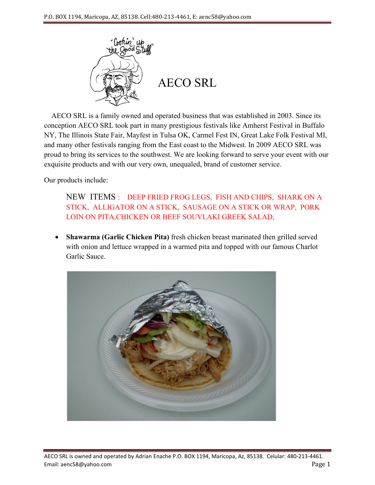

 AECO SRL is a family owned and operated business that was established in 2003. Since its conception AECO SRL took part in many prestigious festivals like Amherst Festival in Buffalo NY, The Illinois State Fair, Mayfest in Tulsa OK, Carmel Fest IN, Great Lake Folk Festival MI, and many other festivals ranging from the East coast to the Midwest. In 2009 AECO SRL was proud to bring its services to the southwest. We are looking forward to serve your event with our exquisite products and with our very own, unequaled, brand of customer service.

Our products include:

NEW ITEMS : DEEP FRIED FROG LEGS, FISH AND CHIPS, SHARK ON A STICK, ALLIGATOR ON A STICK, SAUSAGE ON A STICK OR WRAP, PORK LOIN ON PITA,CHICKEN OR BEEF SOUVLAKI GREEK SALAD,

• **Shawarma (Garlic Chicken Pita)** fresh chicken breast marinated then grilled served with onion and lettuce wrapped in a warmed pita and topped with our famous Charlot Garlic Sauce.

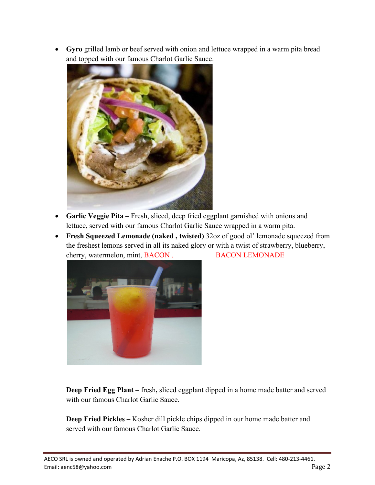• **Gyro** grilled lamb or beef served with onion and lettuce wrapped in a warm pita bread and topped with our famous Charlot Garlic Sauce.



- **Garlic Veggie Pita –** Fresh, sliced, deep fried eggplant garnished with onions and lettuce, served with our famous Charlot Garlic Sauce wrapped in a warm pita.
- **Fresh Squeezed Lemonade (naked , twisted)** 32oz of good ol' lemonade squeezed from the freshest lemons served in all its naked glory or with a twist of strawberry, blueberry, cherry, watermelon, mint, BACON . BACON LEMONADE



**Deep Fried Egg Plant –** fresh**,** sliced eggplant dipped in a home made batter and served with our famous Charlot Garlic Sauce.

**Deep Fried Pickles –** Kosher dill pickle chips dipped in our home made batter and served with our famous Charlot Garlic Sauce.